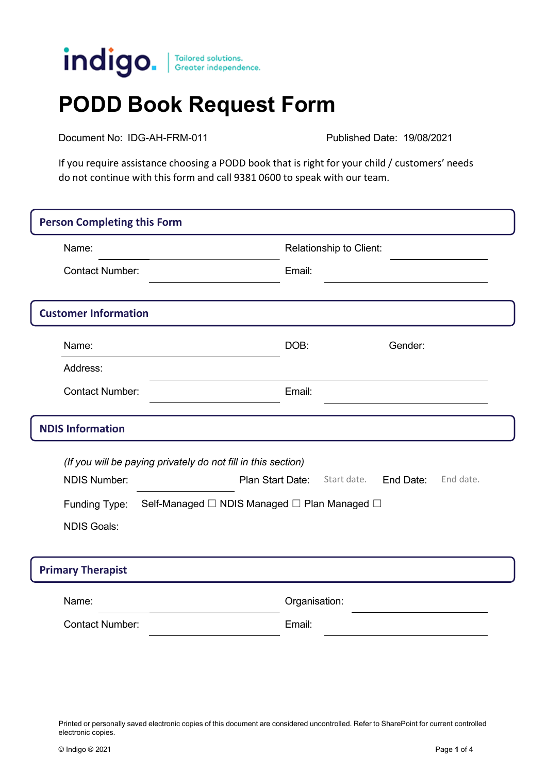

## **PODD Book Request Form**

Document No: IDG-AH-FRM-011 Published Date: 19/08/2021

If you require assistance choosing a PODD book that is right for your child / customers' needs do not continue with this form and call 9381 0600 to speak with our team.

| <b>Person Completing this Form</b>                            |                                                               |  |  |  |  |  |
|---------------------------------------------------------------|---------------------------------------------------------------|--|--|--|--|--|
| Name:                                                         | Relationship to Client:                                       |  |  |  |  |  |
| <b>Contact Number:</b>                                        | Email:                                                        |  |  |  |  |  |
| <b>Customer Information</b>                                   |                                                               |  |  |  |  |  |
| Name:                                                         | Gender:<br>DOB:                                               |  |  |  |  |  |
| Address:                                                      |                                                               |  |  |  |  |  |
| <b>Contact Number:</b>                                        | Email:                                                        |  |  |  |  |  |
| <b>NDIS Information</b>                                       |                                                               |  |  |  |  |  |
|                                                               | (If you will be paying privately do not fill in this section) |  |  |  |  |  |
| <b>NDIS Number:</b>                                           | Plan Start Date:<br>Start date.<br>End Date:<br>End date.     |  |  |  |  |  |
| Self-Managed □ NDIS Managed □ Plan Managed □<br>Funding Type: |                                                               |  |  |  |  |  |
| <b>NDIS Goals:</b>                                            |                                                               |  |  |  |  |  |
| <b>Primary Therapist</b>                                      |                                                               |  |  |  |  |  |
| Name:                                                         | Organisation:                                                 |  |  |  |  |  |
| <b>Contact Number:</b>                                        | Email:                                                        |  |  |  |  |  |
|                                                               |                                                               |  |  |  |  |  |

Printed or personally saved electronic copies of this document are considered uncontrolled. Refer to SharePoint for current controlled electronic copies.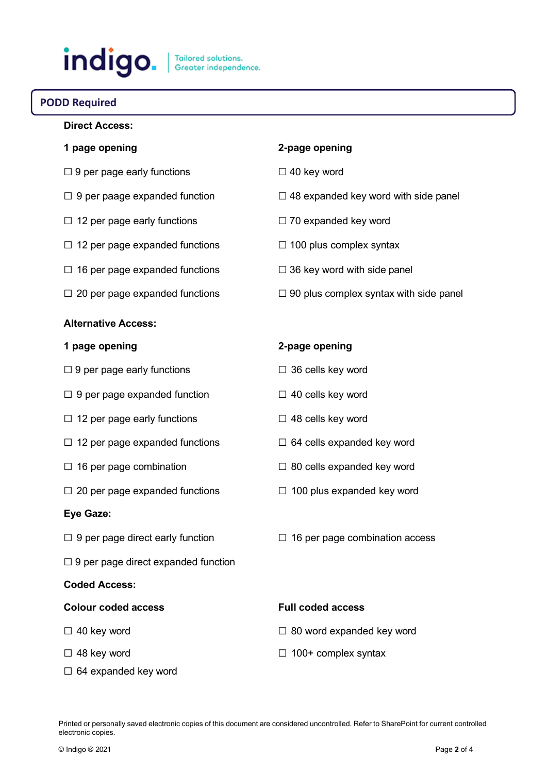# indigo.

## **PODD Required**

## **Direct Access:**

- ☐ 9 per page early functions ☐ 40 key word
- 
- ☐ 12 per page early functions ☐ 70 expanded key word
- ☐ 12 per page expanded functions ☐ 100 plus complex syntax
- $\Box$  16 per page expanded functions  $\Box$  36 key word with side panel
- 

#### **Alternative Access:**

- ☐ 9 per page early functions ☐ 36 cells key word
- ☐ 9 per page expanded function ☐ 40 cells key word
- ☐ 12 per page early functions ☐ 48 cells key word
- ☐ 12 per page expanded functions ☐ 64 cells expanded key word
- 
- ☐ 20 per page expanded functions ☐ 100 plus expanded key word

#### **Eye Gaze:**

- 
- $\Box$  9 per page direct expanded function

#### **Coded Access:**

#### **Colour coded access Full coded access**

- 
- 
- ☐ 64 expanded key word

### **1 page opening 2-page opening**

- 
- $□$  9 per paage expanded function  $□$  48 expanded key word with side panel
	-
	-
	-
- $□ 20$  per page expanded functions  $□ 90$  plus complex syntax with side panel

#### **1 page opening 2-page opening**

- 
- 
- 
- 
- ☐ 16 per page combination ☐ 80 cells expanded key word
	-
- $□$  9 per page direct early function  $□$  16 per page combination access

- $\Box$  40 key word  $\Box$  40 key word
- ☐ 48 key word ☐ 100+ complex syntax

Printed or personally saved electronic copies of this document are considered uncontrolled. Refer to SharePoint for current controlled electronic copies.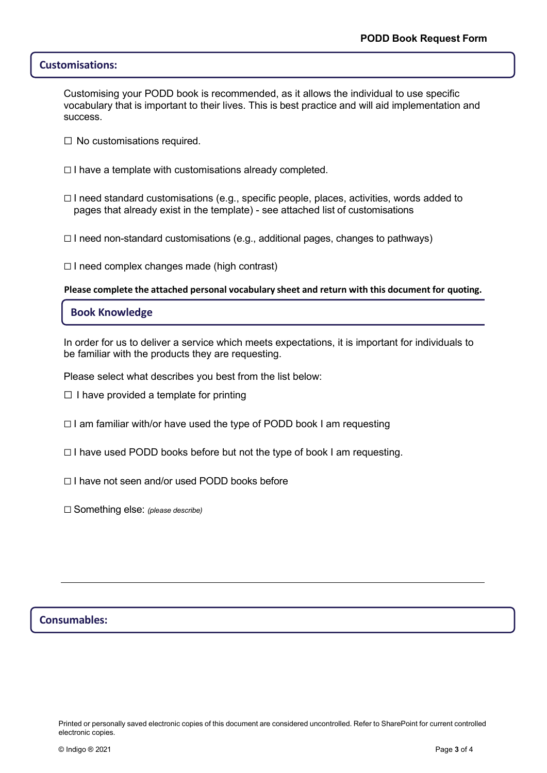#### **Customisations:**

Customising your PODD book is recommended, as it allows the individual to use specific vocabulary that is important to their lives. This is best practice and will aid implementation and success.

- $\Box$  No customisations required.
- $\Box$  I have a template with customisations already completed.
- $\Box$  I need standard customisations (e.g., specific people, places, activities, words added to pages that already exist in the template) - see attached list of customisations
- ☐ I need non-standard customisations (e.g., additional pages, changes to pathways)

☐ I need complex changes made (high contrast)

**Please complete the attached personal vocabulary sheet and return with this document for quoting.**

#### **Book Knowledge**

In order for us to deliver a service which meets expectations, it is important for individuals to be familiar with the products they are requesting.

Please select what describes you best from the list below:

- $\Box$  I have provided a template for printing
- ☐ I am familiar with/or have used the type of PODD book I am requesting
- ☐ I have used PODD books before but not the type of book I am requesting.
- ☐ I have not seen and/or used PODD books before
- ☐ Something else: *(please describe)*

### **Consumables:**

Printed or personally saved electronic copies of this document are considered uncontrolled. Refer to SharePoint for current controlled electronic copies.